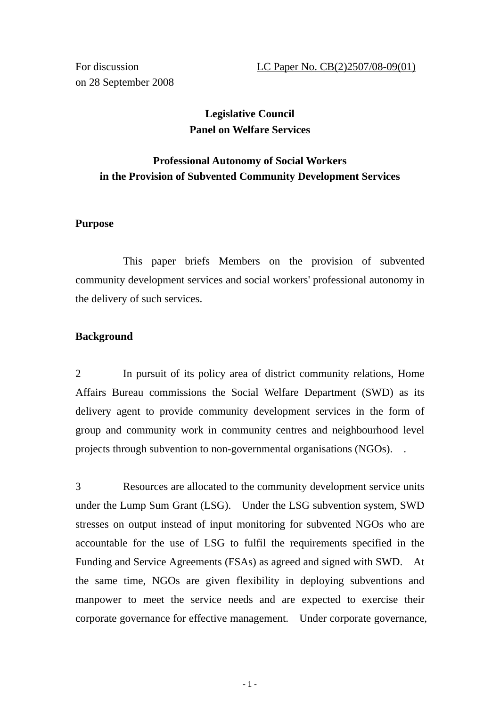on 28 September 2008

# **Legislative Council Panel on Welfare Services**

# **Professional Autonomy of Social Workers in the Provision of Subvented Community Development Services**

# **Purpose**

This paper briefs Members on the provision of subvented community development services and social workers' professional autonomy in the delivery of such services.

## **Background**

2 In pursuit of its policy area of district community relations, Home Affairs Bureau commissions the Social Welfare Department (SWD) as its delivery agent to provide community development services in the form of group and community work in community centres and neighbourhood level projects through subvention to non-governmental organisations (NGOs). .

3 Resources are allocated to the community development service units under the Lump Sum Grant (LSG). Under the LSG subvention system, SWD stresses on output instead of input monitoring for subvented NGOs who are accountable for the use of LSG to fulfil the requirements specified in the Funding and Service Agreements (FSAs) as agreed and signed with SWD. At the same time, NGOs are given flexibility in deploying subventions and manpower to meet the service needs and are expected to exercise their corporate governance for effective management. Under corporate governance,

 $-1$  -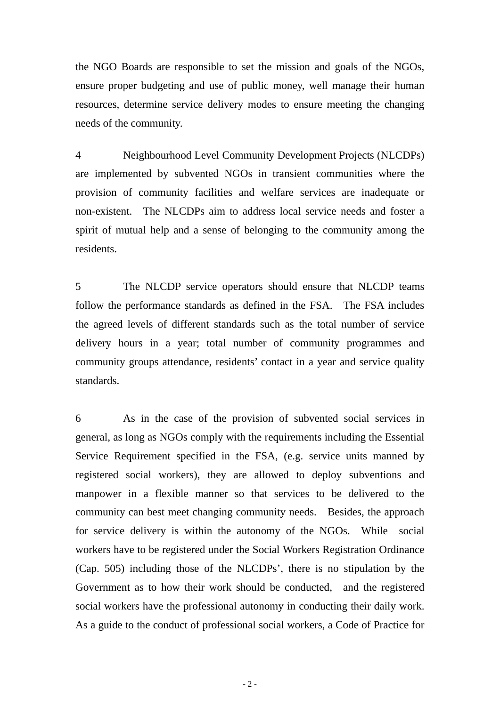the NGO Boards are responsible to set the mission and goals of the NGOs, ensure proper budgeting and use of public money, well manage their human resources, determine service delivery modes to ensure meeting the changing needs of the community.

4 Neighbourhood Level Community Development Projects (NLCDPs) are implemented by subvented NGOs in transient communities where the provision of community facilities and welfare services are inadequate or non-existent. The NLCDPs aim to address local service needs and foster a spirit of mutual help and a sense of belonging to the community among the residents.

5 The NLCDP service operators should ensure that NLCDP teams follow the performance standards as defined in the FSA. The FSA includes the agreed levels of different standards such as the total number of service delivery hours in a year; total number of community programmes and community groups attendance, residents' contact in a year and service quality standards.

6 As in the case of the provision of subvented social services in general, as long as NGOs comply with the requirements including the Essential Service Requirement specified in the FSA, (e.g. service units manned by registered social workers), they are allowed to deploy subventions and manpower in a flexible manner so that services to be delivered to the community can best meet changing community needs. Besides, the approach for service delivery is within the autonomy of the NGOs. While social workers have to be registered under the Social Workers Registration Ordinance (Cap. 505) including those of the NLCDPs', there is no stipulation by the Government as to how their work should be conducted, and the registered social workers have the professional autonomy in conducting their daily work. As a guide to the conduct of professional social workers, a Code of Practice for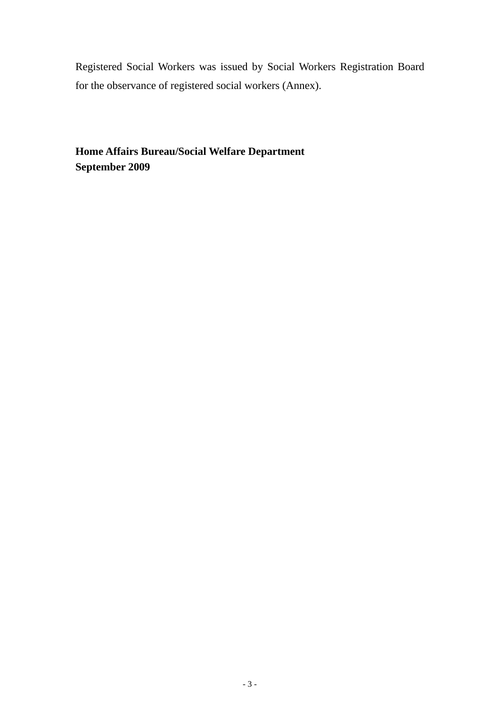Registered Social Workers was issued by Social Workers Registration Board for the observance of registered social workers (Annex).

**Home Affairs Bureau/Social Welfare Department September 2009**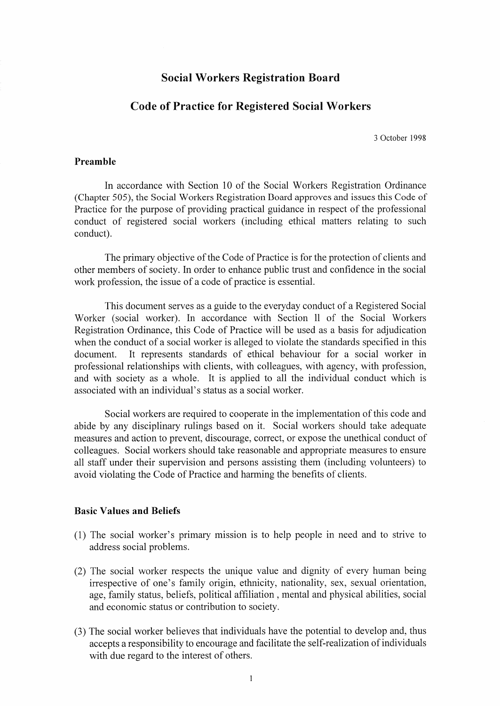## **Social Workers Registration Board**

# **Code of Practice for Registered Social Workers**

3 October 1998

#### Preamble

In accordance with Section 10 of the Social Workers Registration Ordinance (Chapter 505), the Social Workers Registration Board approves and issues this Code of Practice for the purpose of providing practical guidance in respect of the professional conduct of registered social workers (including ethical matters relating to such conduct).

The primary objective of the Code of Practice is for the protection of clients and other members of society. In order to enhance public trust and confidence in the social work profession, the issue of a code of practice is essential.

This document serves as a guide to the everyday conduct of a Registered Social Worker (social worker). In accordance with Section II of the Social Workers Registration Ordinance, this Code of Practice will be used as a basis for adjudication when the conduct of a social worker is alleged to violate the standards specified in this It represents standards of ethical behaviour for a social worker in document. professional relationships with clients, with colleagues, with agency, with profession, and with society as a whole. It is applied to all the individual conduct which is associated with an individual's status as a social worker.

Social workers are required to cooperate in the implementation of this code and abide by any disciplinary rulings based on it. Social workers should take adequate measures and action to prevent, discourage, correct, or expose the unethical conduct of colleagues. Social workers should take reasonable and appropriate measures to ensure all staff under their supervision and persons assisting them (including volunteers) to avoid violating the Code of Practice and harming the benefits of clients.

#### **Basic Values and Beliefs**

- (1) The social worker's primary mission is to help people in need and to strive to address social problems.
- (2) The social worker respects the unique value and dignity of every human being irrespective of one's family origin, ethnicity, nationality, sex, sexual orientation, age, family status, beliefs, political affiliation, mental and physical abilities, social and economic status or contribution to society.
- (3) The social worker believes that individuals have the potential to develop and, thus accepts a responsibility to encourage and facilitate the self-realization of individuals with due regard to the interest of others.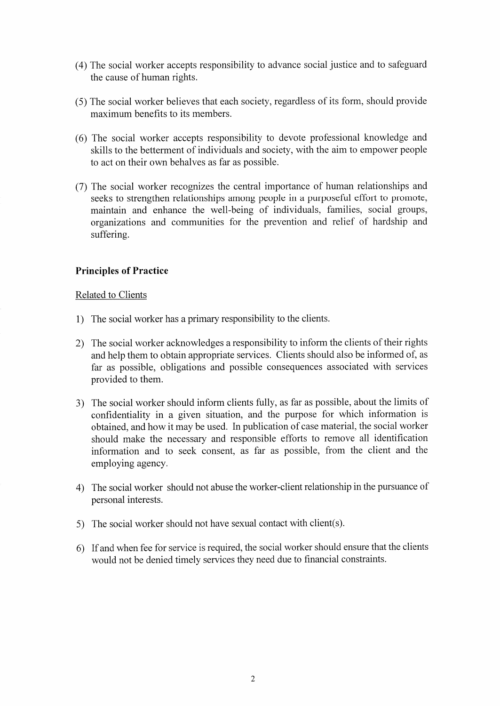- (4) The social worker accepts responsibility to advance social justice and to safeguard the cause of human rights.
- (5) The social worker believes that each society, regardless of its form, should provide maximum benefits to its members.
- (6) The social worker accepts responsibility to devote professional knowledge and skills to the betterment of individuals and society, with the aim to empower people to act on their own behalves as far as possible.
- (7) The social worker recognizes the central importance of human relationships and seeks to strengthen relationships among people in a purposeful effort to promote, maintain and enhance the well-being of individuals, families, social groups, organizations and communities for the prevention and relief of hardship and suffering.

# **Principles of Practice**

#### Related to Clients

- 1) The social worker has a primary responsibility to the clients.
- 2) The social worker acknowledges a responsibility to inform the clients of their rights and help them to obtain appropriate services. Clients should also be informed of, as far as possible, obligations and possible consequences associated with services provided to them.
- 3) The social worker should inform clients fully, as far as possible, about the limits of confidentiality in a given situation, and the purpose for which information is obtained, and how it may be used. In publication of case material, the social worker should make the necessary and responsible efforts to remove all identification information and to seek consent, as far as possible, from the client and the employing agency.
- 4) The social worker should not abuse the worker-client relationship in the pursuance of personal interests.
- 5) The social worker should not have sexual contact with client(s).
- 6) If and when fee for service is required, the social worker should ensure that the clients would not be denied timely services they need due to financial constraints.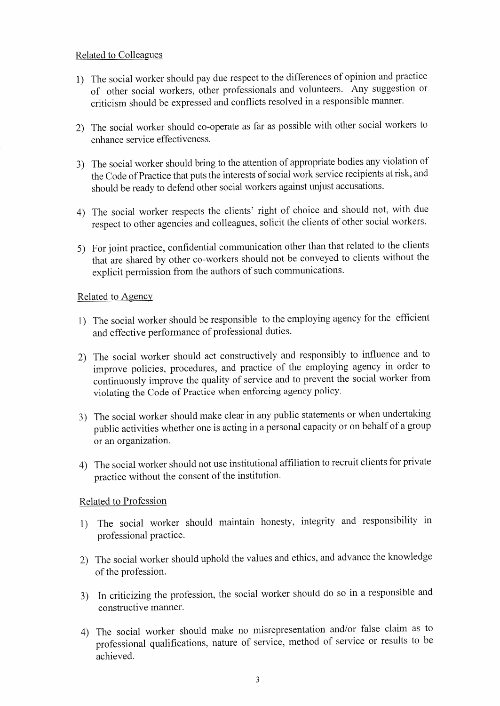# **Related to Colleagues**

- 1) The social worker should pay due respect to the differences of opinion and practice of other social workers, other professionals and volunteers. Any suggestion or criticism should be expressed and conflicts resolved in a responsible manner.
- 2) The social worker should co-operate as far as possible with other social workers to enhance service effectiveness.
- 3) The social worker should bring to the attention of appropriate bodies any violation of the Code of Practice that puts the interests of social work service recipients at risk, and should be ready to defend other social workers against unjust accusations.
- 4) The social worker respects the clients' right of choice and should not, with due respect to other agencies and colleagues, solicit the clients of other social workers.
- 5) For joint practice, confidential communication other than that related to the clients that are shared by other co-workers should not be conveyed to clients without the explicit permission from the authors of such communications.

#### Related to Agency

- 1) The social worker should be responsible to the employing agency for the efficient and effective performance of professional duties.
- 2) The social worker should act constructively and responsibly to influence and to improve policies, procedures, and practice of the employing agency in order to continuously improve the quality of service and to prevent the social worker from violating the Code of Practice when enforcing agency policy.
- 3) The social worker should make clear in any public statements or when undertaking public activities whether one is acting in a personal capacity or on behalf of a group or an organization.
- 4) The social worker should not use institutional affiliation to recruit clients for private practice without the consent of the institution.

# Related to Profession

- The social worker should maintain honesty, integrity and responsibility in  $1)$ professional practice.
- 2) The social worker should uphold the values and ethics, and advance the knowledge of the profession.
- 3) In criticizing the profession, the social worker should do so in a responsible and constructive manner.
- 4) The social worker should make no misrepresentation and/or false claim as to professional qualifications, nature of service, method of service or results to be achieved.